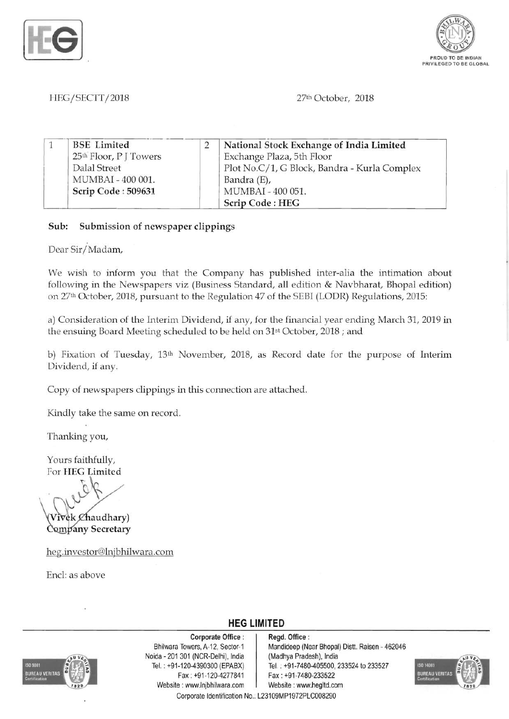



#### *HEG/SECTT/2018* 27th October, 2018

| <b>BSE</b> Limited                 | National Stock Exchange of India Limited     |
|------------------------------------|----------------------------------------------|
| 25 <sup>th</sup> Floor, P J Towers | Exchange Plaza, 5th Floor                    |
| Dalal Street                       | Plot No.C/1, G Block, Bandra - Kurla Complex |
| MUMBAI - 400 001.                  | Bandra (E),                                  |
| Scrip Code: 509631                 | MUMBAI - 400 051.                            |
|                                    | Scrip Code: HEG                              |

Sub: Submission of newspaper clippings

Dear Sir/Madam,

We wish to inform you that the Company has published inter-alia the intimation about following in the Newspapers viz (Business Standard, all edition & Navbharat, Bhopal edition) on 27th October, 2018, pursuant to the Regulation 47 of the SEBI (LODR) Regulations, 2015:

a) Consideration of the Interim Dividend, if any, for the financial year ending March 31, 2019 in the ensuing Board Meeting scheduled to be held on 31st October, 2018; and

b) Fixation of Tuesday, 13th November, 2018, as Record date for the purpose of Interim Dividend, if any.

Copy of newspapers clippings in this connection are attached.

Kindly take the same on record.

Thanking you,

Yours faithfully, For HEG Limited

 $W^{\nu}$ 

vek Chaudhary) Company Secretary

heg.investor@lnjbhilwara.com

Encl: as above

**UREAU VERITAS** 

Corporate Office : | Regd. Office : Noida · 201 301 (NCR·Delhi), India (Madhya Pradesh), India Fax: +91-120-4277841 | Fax: +91-7480-233522 Website: www.lnjbhilwara.com | Website: www.hegltd.com

Bhilwara Towers, A-12, Sector-1 | Mandideep (Near Bhopal) Distt. Raisen - 462046 Tel.: +91-120-4390300 (EPABX) Tel.: +91-7480-405500, 233524 to 233527



Corporate Identification No.: L23109MP1972PLC008290

**HEG LIMITED**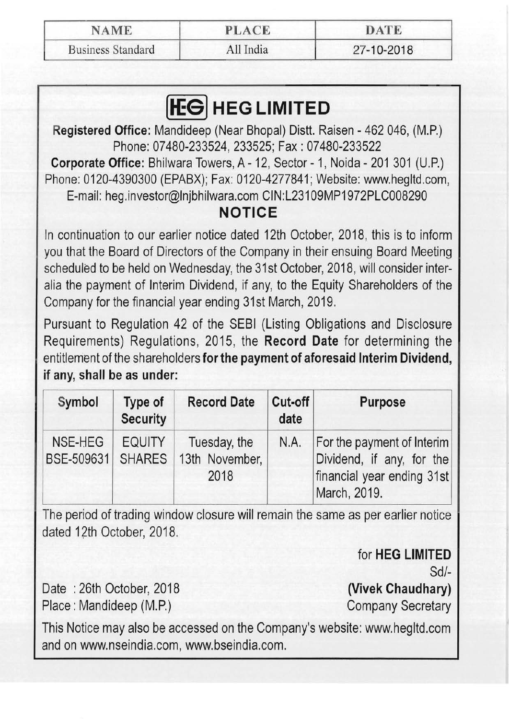| <b>NAME</b>              | <b>PLACE</b> | DATE       |  |
|--------------------------|--------------|------------|--|
| <b>Business Standard</b> | All India    | 27-10-2018 |  |

# **HEG LIMITED**

Registered Office: Mandideep (Near Bhopal) Distt. Raisen - 462 046, (M.P.) Phone: 07480-233524,233525; Fax: 07480-233522

Corporate Office: Bhilwara Towers, A- 12, Sector - 1, Noida - 201 301 (U.P.) Phone: 0120-4390300 (EPABX); Fax: 0120-4277841; Website: www.hegltd.com, E-mail: heg.investor@lnjbhilwara.com CIN:L23109MP1972PLC008290

## **NOTICE**

In continuation to our earlier notice dated 12th October, 2018, this is to inform you that the Board of Directors of the Company in their ensuing Board Meeting scheduled to be held on Wednesday, the 31st October, 2018, will consider interalia the payment of Interim Dividend, if any, to the Equity Shareholders of the Company for the financial year ending 31st March, 2019.

Pursuant to Regulation 42 of the SEBI (Listing Obligations and Disclosure Requirements) Regulations, 2015, the Record Date for determining the entitlement of the shareholders for the payment of aforesaid Interim Dividend, if any, shall be as under:

| Symbol                                                                                            | Type of<br><b>Security</b> | <b>Record Date</b> | Cut-off<br>date                                                                                       | <b>Purpose</b> |
|---------------------------------------------------------------------------------------------------|----------------------------|--------------------|-------------------------------------------------------------------------------------------------------|----------------|
| NSE-HEG<br><b>EQUITY</b><br>Tuesday, the<br>13th November,<br>BSE-509631<br><b>SHARES</b><br>2018 |                            | N.A.               | For the payment of Interim<br>Dividend, if any, for the<br>financial year ending 31st<br>March, 2019. |                |

The period of trading window closure will remain the same as per earlier notice dated 12th October, 2018.

> for HEG LIMITED Sd/

Date: 26th October, 2018 (Vivek Chaudhary) Place: Mandideep (M.P.) Company Secretary

This Notice may also be accessed on the Company's website: www.hegltd.com and on www.nseindia.com, www.bseindia.com.